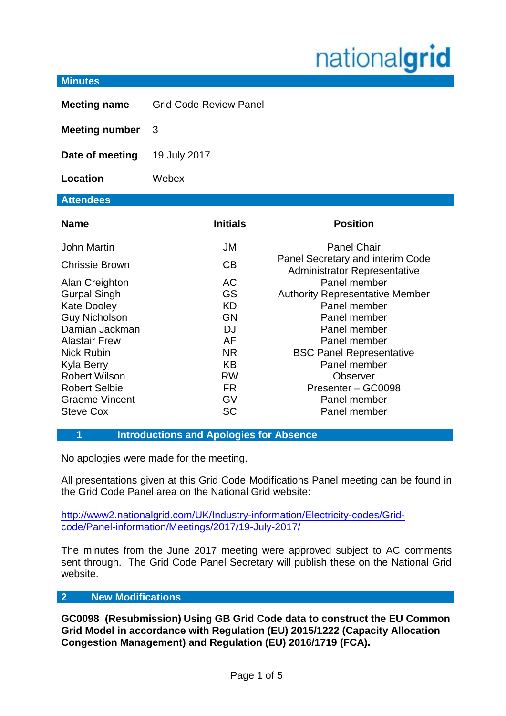# nationalgrid

#### **Minutes**

| <b>Meeting name</b>                          | <b>Grid Code Review Panel</b> |                                                                         |
|----------------------------------------------|-------------------------------|-------------------------------------------------------------------------|
| <b>Meeting number</b>                        | 3                             |                                                                         |
| Date of meeting                              | 19 July 2017                  |                                                                         |
| Location                                     | Webex                         |                                                                         |
| <b>Attendees</b>                             |                               |                                                                         |
| <b>Name</b>                                  | <b>Initials</b>               | <b>Position</b>                                                         |
| <b>John Martin</b>                           | <b>JM</b>                     | <b>Panel Chair</b>                                                      |
| Chrissie Brown                               | <b>CB</b>                     | Panel Secretary and interim Code<br><b>Administrator Representative</b> |
| Alan Creighton                               | <b>AC</b>                     | Panel member                                                            |
| <b>Gurpal Singh</b>                          | GS                            | <b>Authority Representative Member</b><br>Panel member                  |
| <b>Kate Dooley</b><br><b>Guy Nicholson</b>   | <b>KD</b><br>GN               | Panel member                                                            |
| Damian Jackman                               | <b>DJ</b>                     | Panel member                                                            |
| <b>Alastair Frew</b>                         | AF                            | Panel member                                                            |
| <b>Nick Rubin</b>                            | <b>NR</b>                     | <b>BSC Panel Representative</b>                                         |
| Kyla Berry                                   | <b>KB</b>                     | Panel member                                                            |
| <b>Robert Wilson</b><br><b>Robert Selbie</b> | <b>RW</b><br>FR.              | Observer<br>Presenter - GC0098                                          |
| <b>Graeme Vincent</b>                        | GV                            | Panel member                                                            |
| <b>Steve Cox</b>                             | <b>SC</b>                     | Panel member                                                            |

#### **1 Introductions and Apologies for Absence**

No apologies were made for the meeting.

All presentations given at this Grid Code Modifications Panel meeting can be found in the Grid Code Panel area on the National Grid website:

[http://www2.nationalgrid.com/UK/Industry-information/Electricity-codes/Grid](http://www2.nationalgrid.com/UK/Industry-information/Electricity-codes/Grid-code/Panel-information/Meetings/2017/19-July-2017/)[code/Panel-information/Meetings/2017/19-July-2017/](http://www2.nationalgrid.com/UK/Industry-information/Electricity-codes/Grid-code/Panel-information/Meetings/2017/19-July-2017/)

The minutes from the June 2017 meeting were approved subject to AC comments sent through. The Grid Code Panel Secretary will publish these on the National Grid website.

#### **2 New Modifications**

**GC0098 (Resubmission) Using GB Grid Code data to construct the EU Common Grid Model in accordance with Regulation (EU) 2015/1222 (Capacity Allocation Congestion Management) and Regulation (EU) 2016/1719 (FCA).**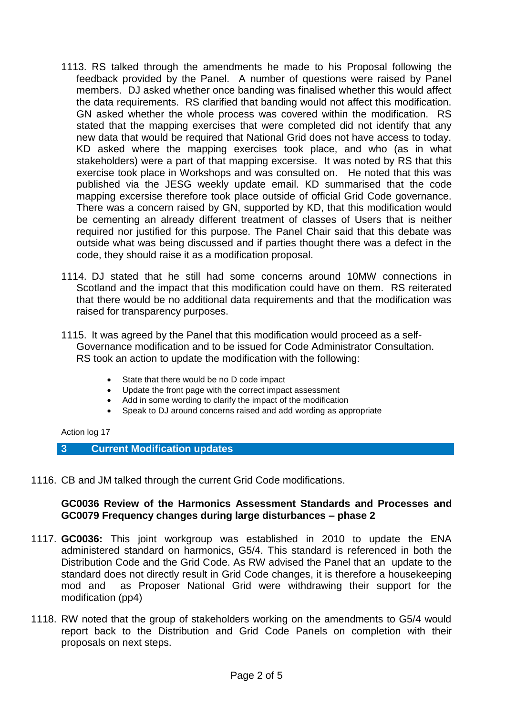- 1113. RS talked through the amendments he made to his Proposal following the feedback provided by the Panel. A number of questions were raised by Panel members. DJ asked whether once banding was finalised whether this would affect the data requirements. RS clarified that banding would not affect this modification. GN asked whether the whole process was covered within the modification. RS stated that the mapping exercises that were completed did not identify that any new data that would be required that National Grid does not have access to today. KD asked where the mapping exercises took place, and who (as in what stakeholders) were a part of that mapping excersise. It was noted by RS that this exercise took place in Workshops and was consulted on. He noted that this was published via the JESG weekly update email. KD summarised that the code mapping excersise therefore took place outside of official Grid Code governance. There was a concern raised by GN, supported by KD, that this modification would be cementing an already different treatment of classes of Users that is neither required nor justified for this purpose. The Panel Chair said that this debate was outside what was being discussed and if parties thought there was a defect in the code, they should raise it as a modification proposal.
- 1114. DJ stated that he still had some concerns around 10MW connections in Scotland and the impact that this modification could have on them. RS reiterated that there would be no additional data requirements and that the modification was raised for transparency purposes.
- 1115. It was agreed by the Panel that this modification would proceed as a self-Governance modification and to be issued for Code Administrator Consultation. RS took an action to update the modification with the following:
	- State that there would be no D code impact
	- Update the front page with the correct impact assessment
	- Add in some wording to clarify the impact of the modification
	- Speak to DJ around concerns raised and add wording as appropriate

#### Action log 17

- **3 Current Modification updates**
- 1116. CB and JM talked through the current Grid Code modifications.

# **GC0036 Review of the Harmonics Assessment Standards and Processes and GC0079 Frequency changes during large disturbances – phase 2**

- 1117. **GC0036:** This joint workgroup was established in 2010 to update the ENA administered standard on harmonics, G5/4. This standard is referenced in both the Distribution Code and the Grid Code. As RW advised the Panel that an update to the standard does not directly result in Grid Code changes, it is therefore a housekeeping mod and as Proposer National Grid were withdrawing their support for the modification (pp4)
- 1118. RW noted that the group of stakeholders working on the amendments to G5/4 would report back to the Distribution and Grid Code Panels on completion with their proposals on next steps.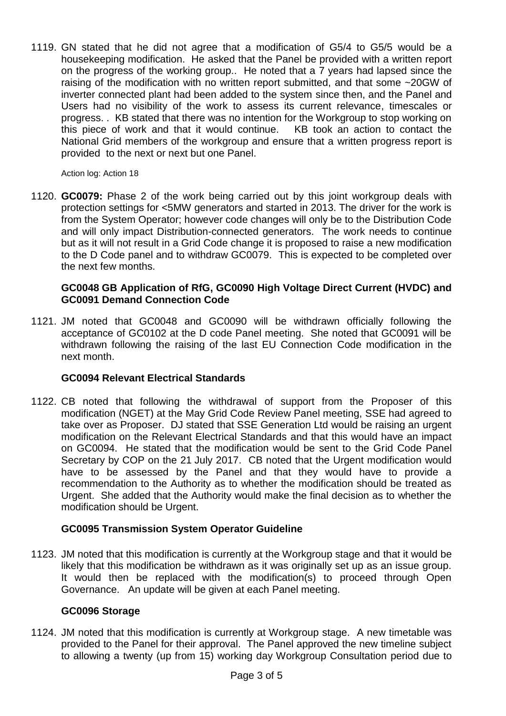1119. GN stated that he did not agree that a modification of G5/4 to G5/5 would be a housekeeping modification. He asked that the Panel be provided with a written report on the progress of the working group.. He noted that a 7 years had lapsed since the raising of the modification with no written report submitted, and that some ~20GW of inverter connected plant had been added to the system since then, and the Panel and Users had no visibility of the work to assess its current relevance, timescales or progress. . KB stated that there was no intention for the Workgroup to stop working on this piece of work and that it would continue. KB took an action to contact the National Grid members of the workgroup and ensure that a written progress report is provided to the next or next but one Panel.

Action log: Action 18

1120. **GC0079:** Phase 2 of the work being carried out by this joint workgroup deals with protection settings for <5MW generators and started in 2013. The driver for the work is from the System Operator; however code changes will only be to the Distribution Code and will only impact Distribution-connected generators. The work needs to continue but as it will not result in a Grid Code change it is proposed to raise a new modification to the D Code panel and to withdraw GC0079. This is expected to be completed over the next few months.

# **GC0048 GB Application of RfG, GC0090 High Voltage Direct Current (HVDC) and GC0091 Demand Connection Code**

1121. JM noted that GC0048 and GC0090 will be withdrawn officially following the acceptance of GC0102 at the D code Panel meeting. She noted that GC0091 will be withdrawn following the raising of the last EU Connection Code modification in the next month.

# **GC0094 Relevant Electrical Standards**

1122. CB noted that following the withdrawal of support from the Proposer of this modification (NGET) at the May Grid Code Review Panel meeting, SSE had agreed to take over as Proposer. DJ stated that SSE Generation Ltd would be raising an urgent modification on the Relevant Electrical Standards and that this would have an impact on GC0094. He stated that the modification would be sent to the Grid Code Panel Secretary by COP on the 21 July 2017. CB noted that the Urgent modification would have to be assessed by the Panel and that they would have to provide a recommendation to the Authority as to whether the modification should be treated as Urgent. She added that the Authority would make the final decision as to whether the modification should be Urgent.

# **GC0095 Transmission System Operator Guideline**

1123. JM noted that this modification is currently at the Workgroup stage and that it would be likely that this modification be withdrawn as it was originally set up as an issue group. It would then be replaced with the modification(s) to proceed through Open Governance. An update will be given at each Panel meeting.

# **GC0096 Storage**

1124. JM noted that this modification is currently at Workgroup stage. A new timetable was provided to the Panel for their approval. The Panel approved the new timeline subject to allowing a twenty (up from 15) working day Workgroup Consultation period due to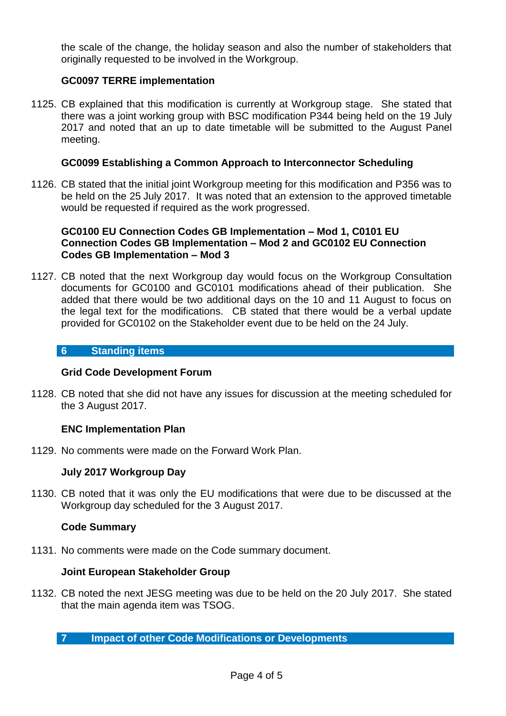the scale of the change, the holiday season and also the number of stakeholders that originally requested to be involved in the Workgroup.

# **GC0097 TERRE implementation**

1125. CB explained that this modification is currently at Workgroup stage. She stated that there was a joint working group with BSC modification P344 being held on the 19 July 2017 and noted that an up to date timetable will be submitted to the August Panel meeting.

# **GC0099 Establishing a Common Approach to Interconnector Scheduling**

1126. CB stated that the initial joint Workgroup meeting for this modification and P356 was to be held on the 25 July 2017. It was noted that an extension to the approved timetable would be requested if required as the work progressed.

# **GC0100 EU Connection Codes GB Implementation – Mod 1, C0101 EU Connection Codes GB Implementation – Mod 2 and GC0102 EU Connection Codes GB Implementation – Mod 3**

1127. CB noted that the next Workgroup day would focus on the Workgroup Consultation documents for GC0100 and GC0101 modifications ahead of their publication. She added that there would be two additional days on the 10 and 11 August to focus on the legal text for the modifications. CB stated that there would be a verbal update provided for GC0102 on the Stakeholder event due to be held on the 24 July.

## **6 Standing items**

# **Grid Code Development Forum**

1128. CB noted that she did not have any issues for discussion at the meeting scheduled for the 3 August 2017.

# **ENC Implementation Plan**

1129. No comments were made on the Forward Work Plan.

# **July 2017 Workgroup Day**

1130. CB noted that it was only the EU modifications that were due to be discussed at the Workgroup day scheduled for the 3 August 2017.

# **Code Summary**

1131. No comments were made on the Code summary document.

## **Joint European Stakeholder Group**

1132. CB noted the next JESG meeting was due to be held on the 20 July 2017. She stated that the main agenda item was TSOG.

**7 Impact of other Code Modifications or Developments**